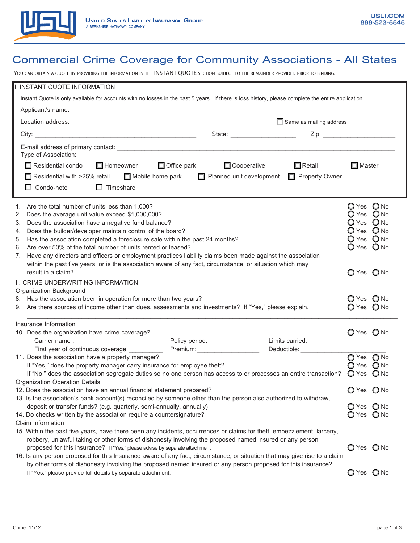

## Commercial Crime Coverage for Community Associations - All States

YOU CAN OBTAIN A QUOTE BY PROVIDING THE INFORMATION IN THE INSTANT QUOTE SECTION SUBJECT TO THE REMAINDER PROVIDED PRIOR TO BINDING.

| I. INSTANT QUOTE INFORMATION                                                                                                                       |                                          |                             |                |            |  |  |  |
|----------------------------------------------------------------------------------------------------------------------------------------------------|------------------------------------------|-----------------------------|----------------|------------|--|--|--|
| Instant Quote is only available for accounts with no losses in the past 5 years. If there is loss history, please complete the entire application. |                                          |                             |                |            |  |  |  |
|                                                                                                                                                    |                                          |                             |                |            |  |  |  |
|                                                                                                                                                    |                                          |                             |                |            |  |  |  |
| State: _______________________                                                                                                                     |                                          |                             |                |            |  |  |  |
|                                                                                                                                                    |                                          |                             |                |            |  |  |  |
| Type of Association:                                                                                                                               |                                          |                             |                |            |  |  |  |
| $\Box$ Residential condo<br>$\Box$ Homeowner                                                                                                       | $\Box$ Cooperative<br>$\Box$ Office park | $\Box$ Retail               | $\Box$ Master  |            |  |  |  |
|                                                                                                                                                    |                                          |                             |                |            |  |  |  |
| $\Box$ Residential with >25% retail $\Box$ Mobile home park<br>□ Planned unit development □ Property Owner                                         |                                          |                             |                |            |  |  |  |
| $\Box$ Condo-hotel<br>$\Box$ Timeshare                                                                                                             |                                          |                             |                |            |  |  |  |
| Are the total number of units less than 1,000?<br>1.                                                                                               |                                          |                             | O Yes O No     |            |  |  |  |
| Does the average unit value exceed \$1,000,000?<br>2.                                                                                              |                                          | O Yes O No                  |                |            |  |  |  |
| Does the association have a negative fund balance?<br>3.                                                                                           |                                          | O Yes O No                  |                |            |  |  |  |
| Does the builder/developer maintain control of the board?<br>4.                                                                                    |                                          |                             | O Yes O No     |            |  |  |  |
| Has the association completed a foreclosure sale within the past 24 months?<br>5.                                                                  |                                          | O Yes O No                  |                |            |  |  |  |
| Are over 50% of the total number of units rented or leased?<br>6.                                                                                  |                                          |                             | $Q$ Yes $Q$ No |            |  |  |  |
| Have any directors and officers or employment practices liability claims been made against the association<br>7.                                   |                                          |                             |                |            |  |  |  |
| within the past five years, or is the association aware of any fact, circumstance, or situation which may                                          |                                          |                             |                |            |  |  |  |
| result in a claim?                                                                                                                                 |                                          |                             | $O$ Yes $O$ No |            |  |  |  |
| II. CRIME UNDERWRITING INFORMATION                                                                                                                 |                                          |                             |                |            |  |  |  |
| Organization Background                                                                                                                            |                                          |                             |                |            |  |  |  |
| 8. Has the association been in operation for more than two years?                                                                                  | O Yes O No                               |                             |                |            |  |  |  |
| 9. Are there sources of income other than dues, assessments and investments? If "Yes," please explain.                                             | O Yes O No                               |                             |                |            |  |  |  |
| Insurance Information                                                                                                                              |                                          |                             |                |            |  |  |  |
| 10. Does the organization have crime coverage?                                                                                                     |                                          |                             | O Yes O No     |            |  |  |  |
|                                                                                                                                                    | Policy period: ________________          |                             |                |            |  |  |  |
| First year of continuous coverage: __________                                                                                                      | Premium: No. 1997                        | Deductible: _______________ |                |            |  |  |  |
| 11. Does the association have a property manager?                                                                                                  |                                          |                             | O Yes O No     |            |  |  |  |
| If "Yes," does the property manager carry insurance for employee theft?                                                                            | O Yes O No                               |                             |                |            |  |  |  |
| If "No," does the association segregate duties so no one person has access to or processes an entire transaction? $\bigcirc$ Yes $\bigcirc$ No     |                                          |                             |                |            |  |  |  |
| <b>Organization Operation Details</b>                                                                                                              |                                          |                             |                |            |  |  |  |
| 12. Does the association have an annual financial statement prepared?                                                                              | O Yes O No                               |                             |                |            |  |  |  |
| 13. Is the association's bank account(s) reconciled by someone other than the person also authorized to withdraw,                                  |                                          |                             |                |            |  |  |  |
| deposit or transfer funds? (e.g. quarterly, semi-annually, annually)                                                                               | O Yes O No                               |                             |                |            |  |  |  |
| 14. Do checks written by the association require a countersignature?                                                                               | O Yes O No                               |                             |                |            |  |  |  |
| Claim Information                                                                                                                                  |                                          |                             |                |            |  |  |  |
| 15. Within the past five years, have there been any incidents, occurrences or claims for theft, embezzlement, larceny,                             |                                          |                             |                |            |  |  |  |
| robbery, unlawful taking or other forms of dishonesty involving the proposed named insured or any person                                           |                                          |                             |                |            |  |  |  |
| O Yes O No<br>proposed for this insurance? If "Yes," please advise by separate attachment                                                          |                                          |                             |                |            |  |  |  |
| 16. Is any person proposed for this Insurance aware of any fact, circumstance, or situation that may give rise to a claim                          |                                          |                             |                |            |  |  |  |
| by other forms of dishonesty involving the proposed named insured or any person proposed for this insurance?                                       |                                          |                             |                |            |  |  |  |
| If "Yes," please provide full details by separate attachment.                                                                                      |                                          |                             |                | O Yes O No |  |  |  |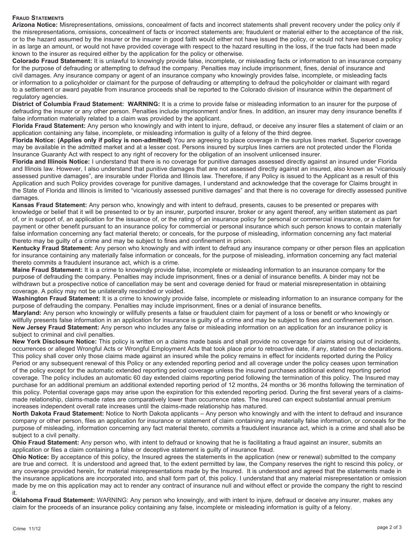## **Fraud Statements**

**Arizona Notice:** Misrepresentations, omissions, concealment of facts and incorrect statements shall prevent recovery under the policy only if the misrepresentations, omissions, concealment of facts or incorrect statements are; fraudulent or material either to the acceptance of the risk, or to the hazard assumed by the insurer or the insurer in good faith would either not have issued the policy, or would not have issued a policy in as large an amount, or would not have provided coverage with respect to the hazard resulting in the loss, if the true facts had been made known to the insurer as required either by the application for the policy or otherwise.

**Colorado Fraud Statement:** It is unlawful to knowingly provide false, incomplete, or misleading facts or information to an insurance company for the purpose of defrauding or attempting to defraud the company. Penalties may include imprisonment, fines, denial of insurance and civil damages. Any insurance company or agent of an insurance company who knowingly provides false, incomplete, or misleading facts or information to a policyholder or claimant for the purpose of defrauding or attempting to defraud the policyholder or claimant with regard to a settlement or award payable from insurance proceeds shall be reported to the Colorado division of insurance within the department of regulatory agencies.

**District of Columbia Fraud Statement: WARNING:** It is a crime to provide false or misleading information to an insurer for the purpose of defrauding the insurer or any other person. Penalties include imprisonment and/or fines. In addition, an insurer may deny insurance benefits if false information materially related to a claim was provided by the applicant.

**Florida Fraud Statement:** Any person who knowingly and with intent to injure, defraud, or deceive any insurer files a statement of claim or an application containing any false, incomplete, or misleading information is guilty of a felony of the third degree.

**Florida Notice: (Applies only if policy is non-admitted)** You are agreeing to place coverage in the surplus lines market. Superior coverage may be available in the admitted market and at a lesser cost. Persons insured by surplus lines carriers are not protected under the Florida Insurance Guaranty Act with respect to any right of recovery for the obligation of an insolvent unlicensed insurer.

**Florida and Illinois Notice:** I understand that there is no coverage for punitive damages assessed directly against an insured under Florida and Illinois law. However, I also understand that punitive damages that are not assessed directly against an insured, also known as "vicariously assessed punitive damages", are insurable under Florida and Illinois law. Therefore, if any Policy is issued to the Applicant as a result of this Application and such Policy provides coverage for punitive damages, I understand and acknowledge that the coverage for Claims brought in the State of Florida and Illinois is limited to "vicariously assessed punitive damages" and that there is no coverage for directly assessed punitive damages.

**Kansas Fraud Statement:** Any person who, knowingly and with intent to defraud, presents, causes to be presented or prepares with knowledge or belief that it will be presented to or by an insurer, purported insurer, broker or any agent thereof, any written statement as part of, or in support of, an application for the issuance of, or the rating of an insurance policy for personal or commercial insurance, or a claim for payment or other benefit pursuant to an insurance policy for commercial or personal insurance which such person knows to contain materially false information concerning any fact material thereto; or conceals, for the purpose of misleading, information concerning any fact material thereto may be guilty of a crime and may be subject to fines and confinement in prison.

**Kentucky Fraud Statement:** Any person who knowingly and with intent to defraud any insurance company or other person files an application for insurance containing any materially false information or conceals, for the purpose of misleading, information concerning any fact material thereto commits a fraudulent insurance act, which is a crime.

**Maine Fraud Statement:** It is a crime to knowingly provide false, incomplete or misleading information to an insurance company for the purpose of defrauding the company. Penalties may include imprisonment, fines or a denial of insurance benefits. A binder may not be withdrawn but a prospective notice of cancellation may be sent and coverage denied for fraud or material misrepresentation in obtaining coverage. A policy may not be unilaterally rescinded or voided.

**Washington Fraud Statement:** It is a crime to knowingly provide false, incomplete or misleading information to an insurance company for the purpose of defrauding the company. Penalties may include imprisonment, fines or a denial of insurance benefits**.**

**Maryland:** Any person who knowingly or willfully presents a false or fraudulent claim for payment of a loss or benefit or who knowingly or willfully presents false information in an application for insurance is guilty of a crime and may be subject to fines and confinement in prison. **New Jersey Fraud Statement:** Any person who includes any false or misleading information on an application for an insurance policy is subject to criminal and civil penalties.

**New York Disclosure Notice:** This policy is written on a claims made basis and shall provide no coverage for claims arising out of incidents, occurrences or alleged Wrongful Acts or Wrongful Employment Acts that took place prior to retroactive date, if any, stated on the declarations. This policy shall cover only those claims made against an insured while the policy remains in effect for incidents reported during the Policy Period or any subsequent renewal of this Policy or any extended reporting period and all coverage under the policy ceases upon termination of the policy except for the automatic extended reporting period coverage unless the insured purchases additional extend reporting period coverage. The policy includes an automatic 60 day extended claims reporting period following the termination of this policy. The Insured may purchase for an additional premium an additional extended reporting period of 12 months, 24 months or 36 months following the termination of this policy. Potential coverage gaps may arise upon the expiration for this extended reporting period. During the first several years of a claimsmade relationship, claims-made rates are comparatively lower than occurrence rates. The insured can expect substantial annual premium increases independent overall rate increases until the claims-made relationship has matured.

**North Dakota Fraud Statement:** Notice to North Dakota applicants – Any person who knowingly and with the intent to defraud and insurance company or other person, files an application for insurance or statement of claim containing any materially false information, or conceals for the purpose of misleading, information concerning any fact material thereto, commits a fraudulent insurance act, which is a crime and shall also be subject to a civil penalty.

**Ohio Fraud Statement:** Any person who, with intent to defraud or knowing that he is facilitating a fraud against an insurer, submits an application or files a claim containing a false or deceptive statement is guilty of insurance fraud.

**Ohio Notice:** By acceptance of this policy, the Insured agrees the statements in the application (new or renewal) submitted to the company are true and correct. It is understood and agreed that, to the extent permitted by law, the Company reserves the right to rescind this policy, or any coverage provided herein, for material misrepresentations made by the Insured. It is understood and agreed that the statements made in the insurance applications are incorporated into, and shall form part of, this policy. I understand that any material misrepresentation or omission made by me on this application may act to render any contract of insurance null and without effect or provide the company the right to rescind it.

**Oklahoma Fraud Statement:** WARNING: Any person who knowingly, and with intent to injure, defraud or deceive any insurer, makes any claim for the proceeds of an insurance policy containing any false, incomplete or misleading information is guilty of a felony.